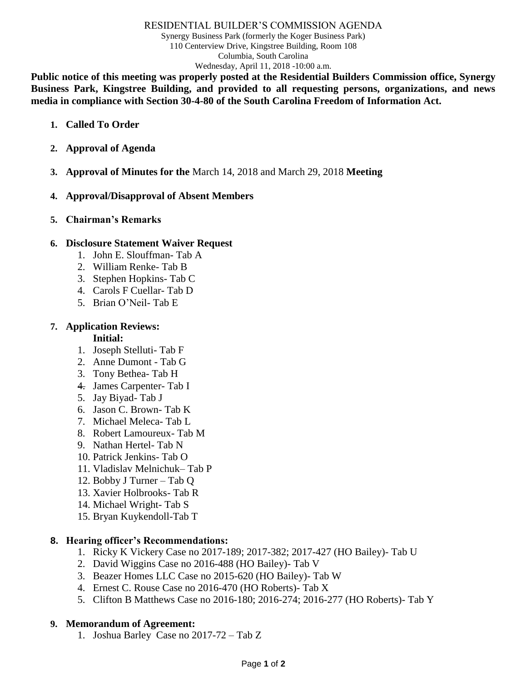# RESIDENTIAL BUILDER'S COMMISSION AGENDA Synergy Business Park (formerly the Koger Business Park) 110 Centerview Drive, Kingstree Building, Room 108 Columbia, South Carolina Wednesday, April 11, 2018 -10:00 a.m.

**Public notice of this meeting was properly posted at the Residential Builders Commission office, Synergy Business Park, Kingstree Building, and provided to all requesting persons, organizations, and news media in compliance with Section 30-4-80 of the South Carolina Freedom of Information Act.**

- **1. Called To Order**
- **2. Approval of Agenda**
- **3. Approval of Minutes for the** March 14, 2018 and March 29, 2018 **Meeting**
- **4. Approval/Disapproval of Absent Members**
- **5. Chairman's Remarks**

# **6. Disclosure Statement Waiver Request**

- 1. John E. Slouffman- Tab A
- 2. William Renke- Tab B
- 3. Stephen Hopkins- Tab C
- 4. Carols F Cuellar- Tab D
- 5. Brian O'Neil- Tab E

# **7. Application Reviews:**

## **Initial:**

- 1. Joseph Stelluti- Tab F
- 2. Anne Dumont Tab G
- 3. Tony Bethea- Tab H
- 4. James Carpenter- Tab I
- 5. Jay Biyad- Tab J
- 6. Jason C. Brown- Tab K
- 7. Michael Meleca- Tab L
- 8. Robert Lamoureux- Tab M
- 9. Nathan Hertel- Tab N
- 10. Patrick Jenkins- Tab O
- 11. Vladislav Melnichuk– Tab P
- 12. Bobby J Turner Tab Q
- 13. Xavier Holbrooks- Tab R
- 14. Michael Wright- Tab S
- 15. Bryan Kuykendoll-Tab T

## **8. Hearing officer's Recommendations:**

- 1. Ricky K Vickery Case no 2017-189; 2017-382; 2017-427 (HO Bailey)- Tab U
- 2. David Wiggins Case no 2016-488 (HO Bailey)- Tab V
- 3. Beazer Homes LLC Case no 2015-620 (HO Bailey)- Tab W
- 4. Ernest C. Rouse Case no 2016-470 (HO Roberts)- Tab X
- 5. Clifton B Matthews Case no 2016-180; 2016-274; 2016-277 (HO Roberts)- Tab Y

# **9. Memorandum of Agreement:**

1. Joshua Barley Case no 2017-72 – Tab Z